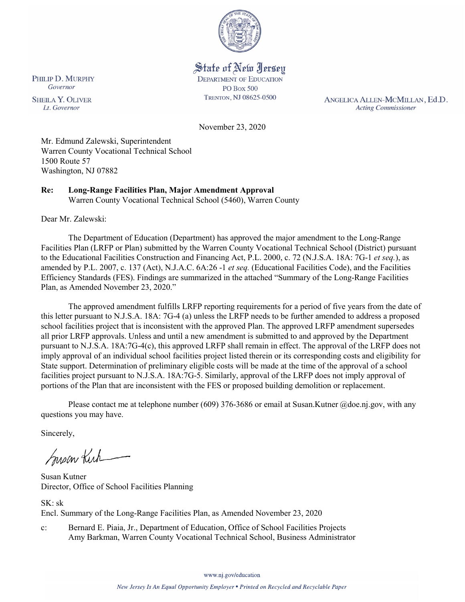

# State of New Jersey

**DEPARTMENT OF EDUCATION PO Box 500** TRENTON, NJ 08625-0500

ANGELICA ALLEN-MCMILLAN, Ed.D. **Acting Commissioner** 

November 23, 2020

Mr. Edmund Zalewski, Superintendent Warren County Vocational Technical School 1500 Route 57 Washington, NJ 07882

#### **Re: Long-Range Facilities Plan, Major Amendment Approval**  Warren County Vocational Technical School (5460), Warren County

Dear Mr. Zalewski:

The Department of Education (Department) has approved the major amendment to the Long-Range Facilities Plan (LRFP or Plan) submitted by the Warren County Vocational Technical School (District) pursuant to the Educational Facilities Construction and Financing Act, P.L. 2000, c. 72 (N.J.S.A. 18A: 7G-1 *et seq.*), as amended by P.L. 2007, c. 137 (Act), N.J.A.C. 6A:26 -1 *et seq.* (Educational Facilities Code), and the Facilities Efficiency Standards (FES). Findings are summarized in the attached "Summary of the Long-Range Facilities Plan, as Amended November 23, 2020."

The approved amendment fulfills LRFP reporting requirements for a period of five years from the date of this letter pursuant to N.J.S.A. 18A: 7G-4 (a) unless the LRFP needs to be further amended to address a proposed school facilities project that is inconsistent with the approved Plan. The approved LRFP amendment supersedes all prior LRFP approvals. Unless and until a new amendment is submitted to and approved by the Department pursuant to N.J.S.A. 18A:7G-4(c), this approved LRFP shall remain in effect. The approval of the LRFP does not imply approval of an individual school facilities project listed therein or its corresponding costs and eligibility for State support. Determination of preliminary eligible costs will be made at the time of the approval of a school facilities project pursuant to N.J.S.A. 18A:7G-5. Similarly, approval of the LRFP does not imply approval of portions of the Plan that are inconsistent with the FES or proposed building demolition or replacement.

Please contact me at telephone number (609) 376-3686 or email at Susan.Kutner @doe.nj.gov, with any questions you may have.

Sincerely,

Susan Kich

Susan Kutner Director, Office of School Facilities Planning

SK: sk Encl. Summary of the Long-Range Facilities Plan, as Amended November 23, 2020

c: Bernard E. Piaia, Jr., Department of Education, Office of School Facilities Projects Amy Barkman, Warren County Vocational Technical School, Business Administrator

www.nj.gov/education

PHILIP D. MURPHY Governor

**SHEILA Y. OLIVER** Lt. Governor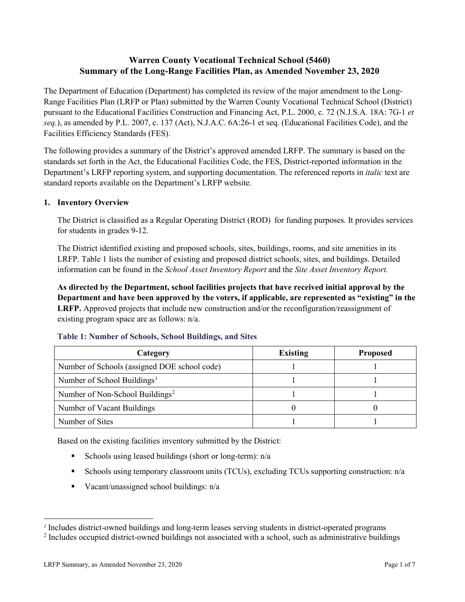## **Warren County Vocational Technical School (5460) Summary of the Long-Range Facilities Plan, as Amended November 23, 2020**

The Department of Education (Department) has completed its review of the major amendment to the Long-Range Facilities Plan (LRFP or Plan) submitted by the Warren County Vocational Technical School (District) pursuant to the Educational Facilities Construction and Financing Act, P.L. 2000, c. 72 (N.J.S.A. 18A: 7G-1 *et seq.*), as amended by P.L. 2007, c. 137 (Act), N.J.A.C. 6A:26-1 et seq. (Educational Facilities Code), and the Facilities Efficiency Standards (FES).

The following provides a summary of the District's approved amended LRFP. The summary is based on the standards set forth in the Act, the Educational Facilities Code, the FES, District-reported information in the Department's LRFP reporting system, and supporting documentation. The referenced reports in *italic* text are standard reports available on the Department's LRFP website.

### **1. Inventory Overview**

The District is classified as a Regular Operating District (ROD) for funding purposes. It provides services for students in grades 9-12.

The District identified existing and proposed schools, sites, buildings, rooms, and site amenities in its LRFP. Table 1 lists the number of existing and proposed district schools, sites, and buildings. Detailed information can be found in the *School Asset Inventory Report* and the *Site Asset Inventory Report.*

**As directed by the Department, school facilities projects that have received initial approval by the Department and have been approved by the voters, if applicable, are represented as "existing" in the LRFP.** Approved projects that include new construction and/or the reconfiguration/reassignment of existing program space are as follows: n/a.

| Category                                     | <b>Existing</b> | <b>Proposed</b> |
|----------------------------------------------|-----------------|-----------------|
| Number of Schools (assigned DOE school code) |                 |                 |
| Number of School Buildings <sup>1</sup>      |                 |                 |
| Number of Non-School Buildings <sup>2</sup>  |                 |                 |
| Number of Vacant Buildings                   |                 |                 |
| Number of Sites                              |                 |                 |

#### **Table 1: Number of Schools, School Buildings, and Sites**

Based on the existing facilities inventory submitted by the District:

- Schools using leased buildings (short or long-term):  $n/a$
- Schools using temporary classroom units (TCUs), excluding TCUs supporting construction: n/a
- Vacant/unassigned school buildings:  $n/a$

 $\overline{a}$ 

<span id="page-1-1"></span><span id="page-1-0"></span>*<sup>1</sup>* Includes district-owned buildings and long-term leases serving students in district-operated programs

<sup>&</sup>lt;sup>2</sup> Includes occupied district-owned buildings not associated with a school, such as administrative buildings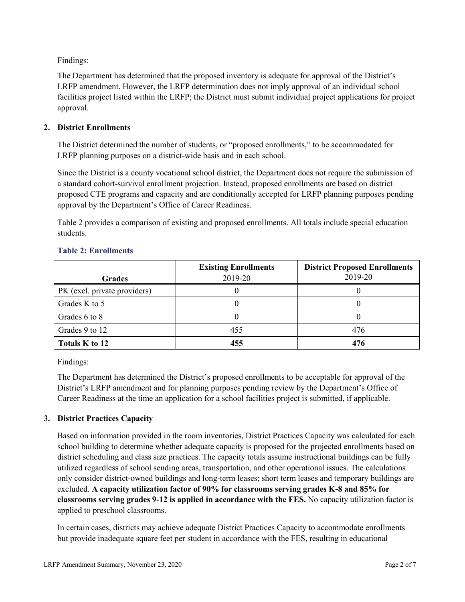Findings:

The Department has determined that the proposed inventory is adequate for approval of the District's LRFP amendment. However, the LRFP determination does not imply approval of an individual school facilities project listed within the LRFP; the District must submit individual project applications for project approval.

### **2. District Enrollments**

The District determined the number of students, or "proposed enrollments," to be accommodated for LRFP planning purposes on a district-wide basis and in each school.

Since the District is a county vocational school district, the Department does not require the submission of a standard cohort-survival enrollment projection. Instead, proposed enrollments are based on district proposed CTE programs and capacity and are conditionally accepted for LRFP planning purposes pending approval by the Department's Office of Career Readiness.

Table 2 provides a comparison of existing and proposed enrollments. All totals include special education students.

|                              | <b>Existing Enrollments</b> | <b>District Proposed Enrollments</b> |
|------------------------------|-----------------------------|--------------------------------------|
| <b>Grades</b>                | 2019-20                     | 2019-20                              |
| PK (excl. private providers) |                             |                                      |
| Grades K to 5                |                             |                                      |
| Grades 6 to 8                |                             |                                      |
| Grades 9 to 12               | 455                         | 476                                  |
| Totals K to 12               | 455                         | 476                                  |

#### **Table 2: Enrollments**

Findings:

The Department has determined the District's proposed enrollments to be acceptable for approval of the District's LRFP amendment and for planning purposes pending review by the Department's Office of Career Readiness at the time an application for a school facilities project is submitted, if applicable.

### **3. District Practices Capacity**

Based on information provided in the room inventories, District Practices Capacity was calculated for each school building to determine whether adequate capacity is proposed for the projected enrollments based on district scheduling and class size practices. The capacity totals assume instructional buildings can be fully utilized regardless of school sending areas, transportation, and other operational issues. The calculations only consider district-owned buildings and long-term leases; short term leases and temporary buildings are excluded. **A capacity utilization factor of 90% for classrooms serving grades K-8 and 85% for classrooms serving grades 9-12 is applied in accordance with the FES.** No capacity utilization factor is applied to preschool classrooms.

In certain cases, districts may achieve adequate District Practices Capacity to accommodate enrollments but provide inadequate square feet per student in accordance with the FES, resulting in educational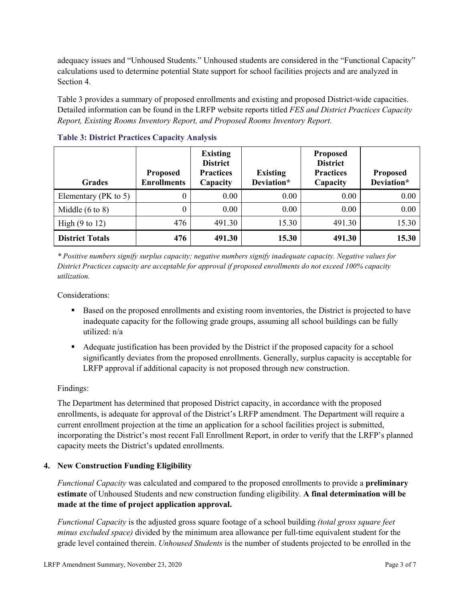adequacy issues and "Unhoused Students." Unhoused students are considered in the "Functional Capacity" calculations used to determine potential State support for school facilities projects and are analyzed in Section 4.

Table 3 provides a summary of proposed enrollments and existing and proposed District-wide capacities. Detailed information can be found in the LRFP website reports titled *FES and District Practices Capacity Report, Existing Rooms Inventory Report, and Proposed Rooms Inventory Report.*

| <b>Grades</b>              | <b>Proposed</b><br><b>Enrollments</b> | <b>Existing</b><br><b>District</b><br><b>Practices</b><br>Capacity | <b>Existing</b><br>Deviation* | <b>Proposed</b><br><b>District</b><br><b>Practices</b><br>Capacity | <b>Proposed</b><br>Deviation* |
|----------------------------|---------------------------------------|--------------------------------------------------------------------|-------------------------------|--------------------------------------------------------------------|-------------------------------|
| Elementary ( $PK$ to 5)    | 0                                     | 0.00                                                               | 0.00                          | 0.00                                                               | 0.00                          |
| Middle $(6 \text{ to } 8)$ | 0                                     | 0.00                                                               | 0.00                          | 0.00                                                               | 0.00                          |
| High $(9 \text{ to } 12)$  | 476                                   | 491.30                                                             | 15.30                         | 491.30                                                             | 15.30                         |
| <b>District Totals</b>     | 476                                   | 491.30                                                             | 15.30                         | 491.30                                                             | 15.30                         |

**Table 3: District Practices Capacity Analysis**

*\* Positive numbers signify surplus capacity; negative numbers signify inadequate capacity. Negative values for District Practices capacity are acceptable for approval if proposed enrollments do not exceed 100% capacity utilization.*

Considerations:

- Based on the proposed enrollments and existing room inventories, the District is projected to have inadequate capacity for the following grade groups, assuming all school buildings can be fully utilized: n/a
- Adequate justification has been provided by the District if the proposed capacity for a school significantly deviates from the proposed enrollments. Generally, surplus capacity is acceptable for LRFP approval if additional capacity is not proposed through new construction.

### Findings:

The Department has determined that proposed District capacity, in accordance with the proposed enrollments, is adequate for approval of the District's LRFP amendment. The Department will require a current enrollment projection at the time an application for a school facilities project is submitted, incorporating the District's most recent Fall Enrollment Report, in order to verify that the LRFP's planned capacity meets the District's updated enrollments.

#### **4. New Construction Funding Eligibility**

*Functional Capacity* was calculated and compared to the proposed enrollments to provide a **preliminary estimate** of Unhoused Students and new construction funding eligibility. **A final determination will be made at the time of project application approval.**

*Functional Capacity* is the adjusted gross square footage of a school building *(total gross square feet minus excluded space)* divided by the minimum area allowance per full-time equivalent student for the grade level contained therein. *Unhoused Students* is the number of students projected to be enrolled in the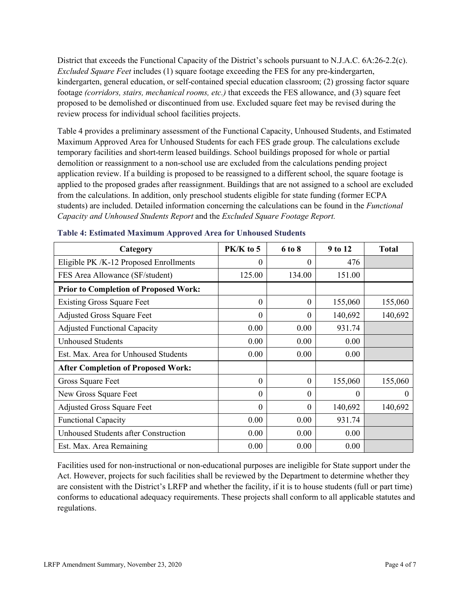District that exceeds the Functional Capacity of the District's schools pursuant to N.J.A.C. 6A:26-2.2(c). *Excluded Square Feet* includes (1) square footage exceeding the FES for any pre-kindergarten, kindergarten, general education, or self-contained special education classroom; (2) grossing factor square footage *(corridors, stairs, mechanical rooms, etc.)* that exceeds the FES allowance, and (3) square feet proposed to be demolished or discontinued from use. Excluded square feet may be revised during the review process for individual school facilities projects.

Table 4 provides a preliminary assessment of the Functional Capacity, Unhoused Students, and Estimated Maximum Approved Area for Unhoused Students for each FES grade group. The calculations exclude temporary facilities and short-term leased buildings. School buildings proposed for whole or partial demolition or reassignment to a non-school use are excluded from the calculations pending project application review. If a building is proposed to be reassigned to a different school, the square footage is applied to the proposed grades after reassignment. Buildings that are not assigned to a school are excluded from the calculations. In addition, only preschool students eligible for state funding (former ECPA students) are included. Detailed information concerning the calculations can be found in the *Functional Capacity and Unhoused Students Report* and the *Excluded Square Footage Report.*

| Category                                     | PK/K to 5 | 6 to 8   | 9 to 12  | <b>Total</b> |
|----------------------------------------------|-----------|----------|----------|--------------|
| Eligible PK /K-12 Proposed Enrollments       | 0         | 0        | 476      |              |
| FES Area Allowance (SF/student)              | 125.00    | 134.00   | 151.00   |              |
| <b>Prior to Completion of Proposed Work:</b> |           |          |          |              |
| <b>Existing Gross Square Feet</b>            | $\theta$  | $\theta$ | 155,060  | 155,060      |
| <b>Adjusted Gross Square Feet</b>            | $\theta$  | $\theta$ | 140,692  | 140,692      |
| <b>Adjusted Functional Capacity</b>          | 0.00      | 0.00     | 931.74   |              |
| <b>Unhoused Students</b>                     | 0.00      | 0.00     | 0.00     |              |
| Est. Max. Area for Unhoused Students         | 0.00      | 0.00     | 0.00     |              |
| <b>After Completion of Proposed Work:</b>    |           |          |          |              |
| Gross Square Feet                            | $\theta$  | $\theta$ | 155,060  | 155,060      |
| New Gross Square Feet                        | $\theta$  | $\theta$ | $\theta$ | $\theta$     |
| <b>Adjusted Gross Square Feet</b>            | $\theta$  | $\theta$ | 140,692  | 140,692      |
| <b>Functional Capacity</b>                   | 0.00      | 0.00     | 931.74   |              |
| <b>Unhoused Students after Construction</b>  | 0.00      | 0.00     | 0.00     |              |
| Est. Max. Area Remaining                     | 0.00      | 0.00     | 0.00     |              |

#### **Table 4: Estimated Maximum Approved Area for Unhoused Students**

Facilities used for non-instructional or non-educational purposes are ineligible for State support under the Act. However, projects for such facilities shall be reviewed by the Department to determine whether they are consistent with the District's LRFP and whether the facility, if it is to house students (full or part time) conforms to educational adequacy requirements. These projects shall conform to all applicable statutes and regulations.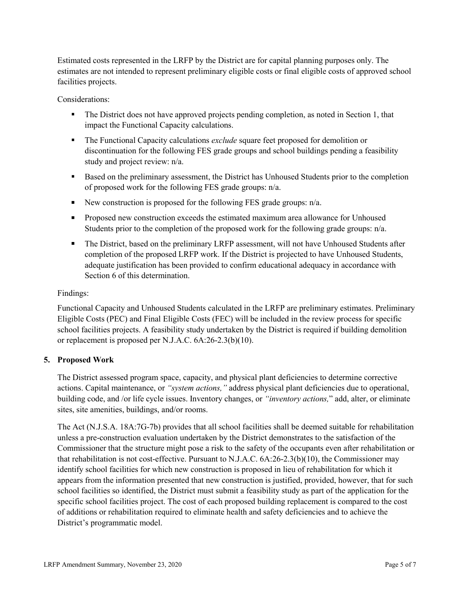Estimated costs represented in the LRFP by the District are for capital planning purposes only. The estimates are not intended to represent preliminary eligible costs or final eligible costs of approved school facilities projects.

Considerations:

- The District does not have approved projects pending completion, as noted in Section 1, that impact the Functional Capacity calculations.
- The Functional Capacity calculations *exclude* square feet proposed for demolition or discontinuation for the following FES grade groups and school buildings pending a feasibility study and project review: n/a.
- Based on the preliminary assessment, the District has Unhoused Students prior to the completion of proposed work for the following FES grade groups: n/a.
- New construction is proposed for the following FES grade groups:  $n/a$ .
- **Proposed new construction exceeds the estimated maximum area allowance for Unhoused** Students prior to the completion of the proposed work for the following grade groups: n/a.
- The District, based on the preliminary LRFP assessment, will not have Unhoused Students after completion of the proposed LRFP work. If the District is projected to have Unhoused Students, adequate justification has been provided to confirm educational adequacy in accordance with Section 6 of this determination.

### Findings:

Functional Capacity and Unhoused Students calculated in the LRFP are preliminary estimates. Preliminary Eligible Costs (PEC) and Final Eligible Costs (FEC) will be included in the review process for specific school facilities projects. A feasibility study undertaken by the District is required if building demolition or replacement is proposed per N.J.A.C. 6A:26-2.3(b)(10).

### **5. Proposed Work**

The District assessed program space, capacity, and physical plant deficiencies to determine corrective actions. Capital maintenance, or *"system actions,"* address physical plant deficiencies due to operational, building code, and /or life cycle issues. Inventory changes, or *"inventory actions,*" add, alter, or eliminate sites, site amenities, buildings, and/or rooms.

The Act (N.J.S.A. 18A:7G-7b) provides that all school facilities shall be deemed suitable for rehabilitation unless a pre-construction evaluation undertaken by the District demonstrates to the satisfaction of the Commissioner that the structure might pose a risk to the safety of the occupants even after rehabilitation or that rehabilitation is not cost-effective. Pursuant to N.J.A.C. 6A:26-2.3(b)(10), the Commissioner may identify school facilities for which new construction is proposed in lieu of rehabilitation for which it appears from the information presented that new construction is justified, provided, however, that for such school facilities so identified, the District must submit a feasibility study as part of the application for the specific school facilities project. The cost of each proposed building replacement is compared to the cost of additions or rehabilitation required to eliminate health and safety deficiencies and to achieve the District's programmatic model.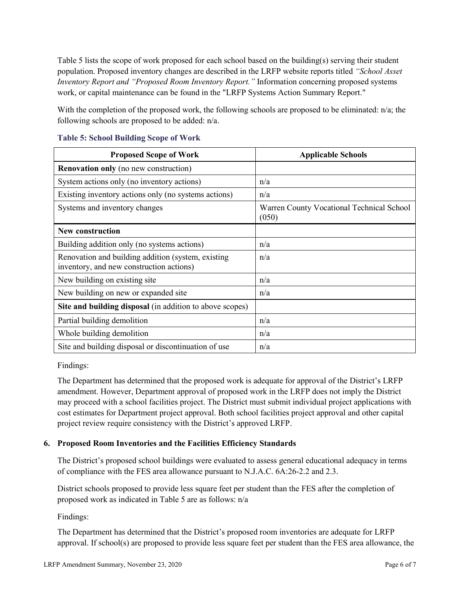Table 5 lists the scope of work proposed for each school based on the building(s) serving their student population. Proposed inventory changes are described in the LRFP website reports titled *"School Asset Inventory Report and "Proposed Room Inventory Report."* Information concerning proposed systems work, or capital maintenance can be found in the "LRFP Systems Action Summary Report."

With the completion of the proposed work, the following schools are proposed to be eliminated: n/a; the following schools are proposed to be added: n/a.

| <b>Proposed Scope of Work</b>                                                                  | <b>Applicable Schools</b>                          |
|------------------------------------------------------------------------------------------------|----------------------------------------------------|
| <b>Renovation only</b> (no new construction)                                                   |                                                    |
| System actions only (no inventory actions)                                                     | n/a                                                |
| Existing inventory actions only (no systems actions)                                           | n/a                                                |
| Systems and inventory changes                                                                  | Warren County Vocational Technical School<br>(050) |
| <b>New construction</b>                                                                        |                                                    |
| Building addition only (no systems actions)                                                    | n/a                                                |
| Renovation and building addition (system, existing<br>inventory, and new construction actions) | n/a                                                |
| New building on existing site.                                                                 | n/a                                                |
| New building on new or expanded site.                                                          | n/a                                                |
| Site and building disposal (in addition to above scopes)                                       |                                                    |
| Partial building demolition                                                                    | n/a                                                |
| Whole building demolition                                                                      | n/a                                                |
| Site and building disposal or discontinuation of use                                           | n/a                                                |

#### **Table 5: School Building Scope of Work**

Findings:

The Department has determined that the proposed work is adequate for approval of the District's LRFP amendment. However, Department approval of proposed work in the LRFP does not imply the District may proceed with a school facilities project. The District must submit individual project applications with cost estimates for Department project approval. Both school facilities project approval and other capital project review require consistency with the District's approved LRFP.

### **6. Proposed Room Inventories and the Facilities Efficiency Standards**

The District's proposed school buildings were evaluated to assess general educational adequacy in terms of compliance with the FES area allowance pursuant to N.J.A.C. 6A:26-2.2 and 2.3.

District schools proposed to provide less square feet per student than the FES after the completion of proposed work as indicated in Table 5 are as follows: n/a

Findings:

The Department has determined that the District's proposed room inventories are adequate for LRFP approval. If school(s) are proposed to provide less square feet per student than the FES area allowance, the